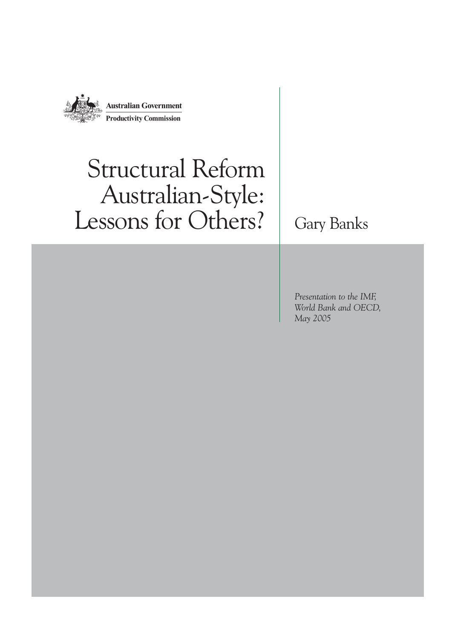

# Structural Reform Australian-Style: Lessons for Others? | Gary Banks

*Presentation to the IMF, World Bank and OECD, May 2005*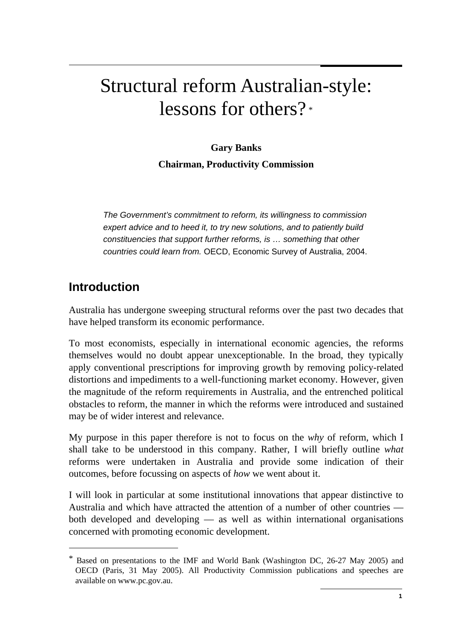# Structural reform Australian-style: lessons for others? \*

**Gary Banks Chairman, Productivity Commission** 

*The Government's commitment to reform, its willingness to commission expert advice and to heed it, to try new solutions, and to patiently build constituencies that support further reforms, is … something that other countries could learn from.* OECD, Economic Survey of Australia, 2004.

# **Introduction**

 $\overline{a}$ 

Australia has undergone sweeping structural reforms over the past two decades that have helped transform its economic performance.

To most economists, especially in international economic agencies, the reforms themselves would no doubt appear unexceptionable. In the broad, they typically apply conventional prescriptions for improving growth by removing policy-related distortions and impediments to a well-functioning market economy. However, given the magnitude of the reform requirements in Australia, and the entrenched political obstacles to reform, the manner in which the reforms were introduced and sustained may be of wider interest and relevance.

My purpose in this paper therefore is not to focus on the *why* of reform, which I shall take to be understood in this company. Rather, I will briefly outline *what* reforms were undertaken in Australia and provide some indication of their outcomes, before focussing on aspects of *how* we went about it.

I will look in particular at some institutional innovations that appear distinctive to Australia and which have attracted the attention of a number of other countries both developed and developing — as well as within international organisations concerned with promoting economic development.

Based on presentations to the IMF and World Bank (Washington DC, 26-27 May 2005) and OECD (Paris, 31 May 2005). All Productivity Commission publications and speeches are available on www.pc.gov.au.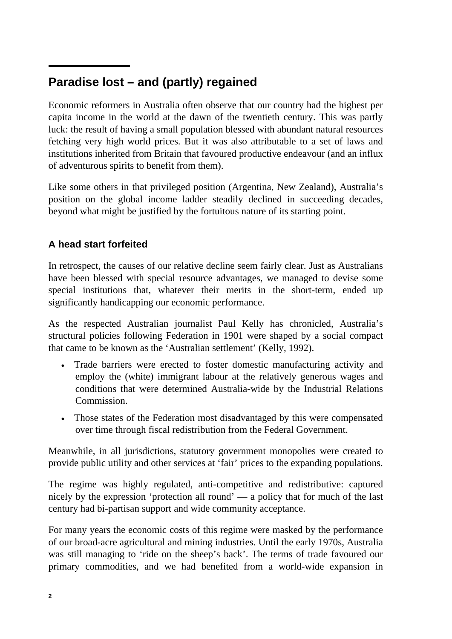#### $\overline{a}$ **Paradise lost – and (partly) regained**

Economic reformers in Australia often observe that our country had the highest per capita income in the world at the dawn of the twentieth century. This was partly luck: the result of having a small population blessed with abundant natural resources fetching very high world prices. But it was also attributable to a set of laws and institutions inherited from Britain that favoured productive endeavour (and an influx of adventurous spirits to benefit from them).

Like some others in that privileged position (Argentina, New Zealand), Australia's position on the global income ladder steadily declined in succeeding decades, beyond what might be justified by the fortuitous nature of its starting point.

# **A head start forfeited**

In retrospect, the causes of our relative decline seem fairly clear. Just as Australians have been blessed with special resource advantages, we managed to devise some special institutions that, whatever their merits in the short-term, ended up significantly handicapping our economic performance.

As the respected Australian journalist Paul Kelly has chronicled, Australia's structural policies following Federation in 1901 were shaped by a social compact that came to be known as the 'Australian settlement' (Kelly, 1992).

- Trade barriers were erected to foster domestic manufacturing activity and employ the (white) immigrant labour at the relatively generous wages and conditions that were determined Australia-wide by the Industrial Relations Commission.
- Those states of the Federation most disadvantaged by this were compensated over time through fiscal redistribution from the Federal Government.

Meanwhile, in all jurisdictions, statutory government monopolies were created to provide public utility and other services at 'fair' prices to the expanding populations.

The regime was highly regulated, anti-competitive and redistributive: captured nicely by the expression 'protection all round' — a policy that for much of the last century had bi-partisan support and wide community acceptance.

For many years the economic costs of this regime were masked by the performance of our broad-acre agricultural and mining industries. Until the early 1970s, Australia was still managing to 'ride on the sheep's back'. The terms of trade favoured our primary commodities, and we had benefited from a world-wide expansion in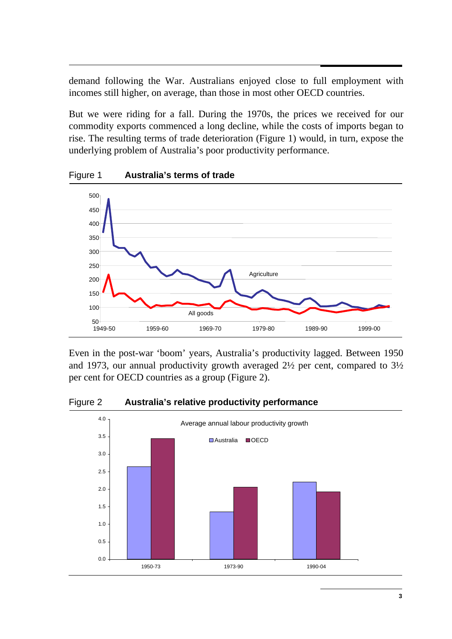demand following the War. Australians enjoyed close to full employment with incomes still higher, on average, than those in most other OECD countries.

But we were riding for a fall. During the 1970s, the prices we received for our commodity exports commenced a long decline, while the costs of imports began to rise. The resulting terms of trade deterioration (Figure 1) would, in turn, expose the underlying problem of Australia's poor productivity performance.



Figure 1 **Australia's terms of trade** 

Even in the post-war 'boom' years, Australia's productivity lagged. Between 1950 and 1973, our annual productivity growth averaged 2½ per cent, compared to 3½ per cent for OECD countries as a group (Figure 2).



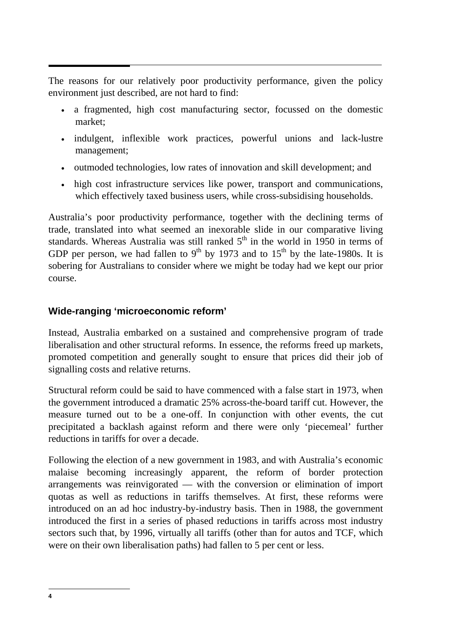$\overline{a}$ The reasons for our relatively poor productivity performance, given the policy environment just described, are not hard to find:

- a fragmented, high cost manufacturing sector, focussed on the domestic market;
- indulgent, inflexible work practices, powerful unions and lack-lustre management;
- outmoded technologies, low rates of innovation and skill development; and
- high cost infrastructure services like power, transport and communications, which effectively taxed business users, while cross-subsidising households.

Australia's poor productivity performance, together with the declining terms of trade, translated into what seemed an inexorable slide in our comparative living standards. Whereas Australia was still ranked  $5<sup>th</sup>$  in the world in 1950 in terms of GDP per person, we had fallen to  $9<sup>th</sup>$  by 1973 and to  $15<sup>th</sup>$  by the late-1980s. It is sobering for Australians to consider where we might be today had we kept our prior course.

# **Wide-ranging 'microeconomic reform'**

Instead, Australia embarked on a sustained and comprehensive program of trade liberalisation and other structural reforms. In essence, the reforms freed up markets, promoted competition and generally sought to ensure that prices did their job of signalling costs and relative returns.

Structural reform could be said to have commenced with a false start in 1973, when the government introduced a dramatic 25% across-the-board tariff cut. However, the measure turned out to be a one-off. In conjunction with other events, the cut precipitated a backlash against reform and there were only 'piecemeal' further reductions in tariffs for over a decade.

Following the election of a new government in 1983, and with Australia's economic malaise becoming increasingly apparent, the reform of border protection arrangements was reinvigorated — with the conversion or elimination of import quotas as well as reductions in tariffs themselves. At first, these reforms were introduced on an ad hoc industry-by-industry basis. Then in 1988, the government introduced the first in a series of phased reductions in tariffs across most industry sectors such that, by 1996, virtually all tariffs (other than for autos and TCF, which were on their own liberalisation paths) had fallen to 5 per cent or less.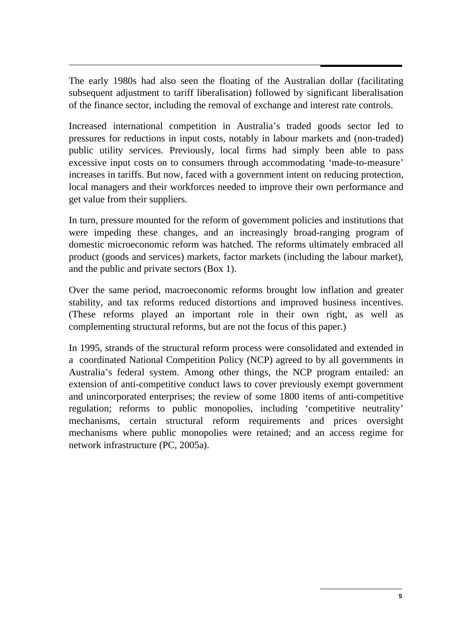$\overline{a}$ The early 1980s had also seen the floating of the Australian dollar (facilitating subsequent adjustment to tariff liberalisation) followed by significant liberalisation of the finance sector, including the removal of exchange and interest rate controls.

Increased international competition in Australia's traded goods sector led to pressures for reductions in input costs, notably in labour markets and (non-traded) public utility services. Previously, local firms had simply been able to pass excessive input costs on to consumers through accommodating 'made-to-measure' increases in tariffs. But now, faced with a government intent on reducing protection, local managers and their workforces needed to improve their own performance and get value from their suppliers.

In turn, pressure mounted for the reform of government policies and institutions that were impeding these changes, and an increasingly broad-ranging program of domestic microeconomic reform was hatched. The reforms ultimately embraced all product (goods and services) markets, factor markets (including the labour market), and the public and private sectors (Box 1).

Over the same period, macroeconomic reforms brought low inflation and greater stability, and tax reforms reduced distortions and improved business incentives. (These reforms played an important role in their own right, as well as complementing structural reforms, but are not the focus of this paper.)

In 1995, strands of the structural reform process were consolidated and extended in a coordinated National Competition Policy (NCP) agreed to by all governments in Australia's federal system. Among other things, the NCP program entailed: an extension of anti-competitive conduct laws to cover previously exempt government and unincorporated enterprises; the review of some 1800 items of anti-competitive regulation; reforms to public monopolies, including 'competitive neutrality' mechanisms, certain structural reform requirements and prices oversight mechanisms where public monopolies were retained; and an access regime for network infrastructure (PC, 2005a).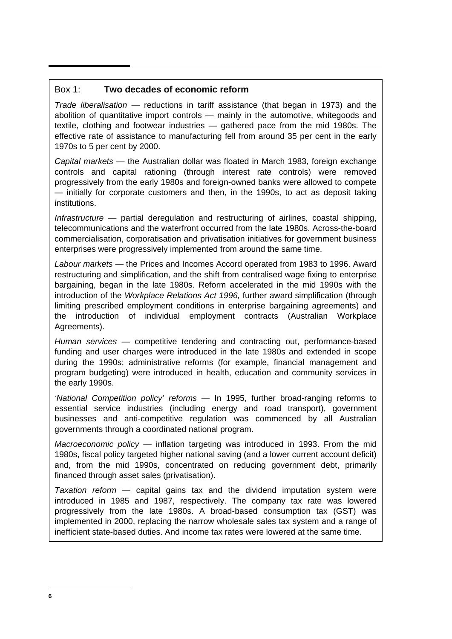#### Box 1: **Two decades of economic reform**

*Trade liberalisation* — reductions in tariff assistance (that began in 1973) and the abolition of quantitative import controls — mainly in the automotive, whitegoods and textile, clothing and footwear industries — gathered pace from the mid 1980s. The effective rate of assistance to manufacturing fell from around 35 per cent in the early 1970s to 5 per cent by 2000.

*Capital markets* — the Australian dollar was floated in March 1983, foreign exchange controls and capital rationing (through interest rate controls) were removed progressively from the early 1980s and foreign-owned banks were allowed to compete — initially for corporate customers and then, in the 1990s, to act as deposit taking institutions.

*Infrastructure* — partial deregulation and restructuring of airlines, coastal shipping, telecommunications and the waterfront occurred from the late 1980s. Across-the-board commercialisation, corporatisation and privatisation initiatives for government business enterprises were progressively implemented from around the same time.

*Labour markets* — the Prices and Incomes Accord operated from 1983 to 1996. Award restructuring and simplification, and the shift from centralised wage fixing to enterprise bargaining, began in the late 1980s. Reform accelerated in the mid 1990s with the introduction of the *Workplace Relations Act 1996,* further award simplification (through limiting prescribed employment conditions in enterprise bargaining agreements) and the introduction of individual employment contracts (Australian Workplace Agreements).

*Human services* — competitive tendering and contracting out, performance-based funding and user charges were introduced in the late 1980s and extended in scope during the 1990s; administrative reforms (for example, financial management and program budgeting) were introduced in health, education and community services in the early 1990s.

*'National Competition policy' reforms* — In 1995, further broad-ranging reforms to essential service industries (including energy and road transport), government businesses and anti-competitive regulation was commenced by all Australian governments through a coordinated national program.

*Macroeconomic policy* — inflation targeting was introduced in 1993. From the mid 1980s, fiscal policy targeted higher national saving (and a lower current account deficit) and, from the mid 1990s, concentrated on reducing government debt, primarily financed through asset sales (privatisation).

*Taxation reform* — capital gains tax and the dividend imputation system were introduced in 1985 and 1987, respectively. The company tax rate was lowered progressively from the late 1980s. A broad-based consumption tax (GST) was implemented in 2000, replacing the narrow wholesale sales tax system and a range of inefficient state-based duties. And income tax rates were lowered at the same time.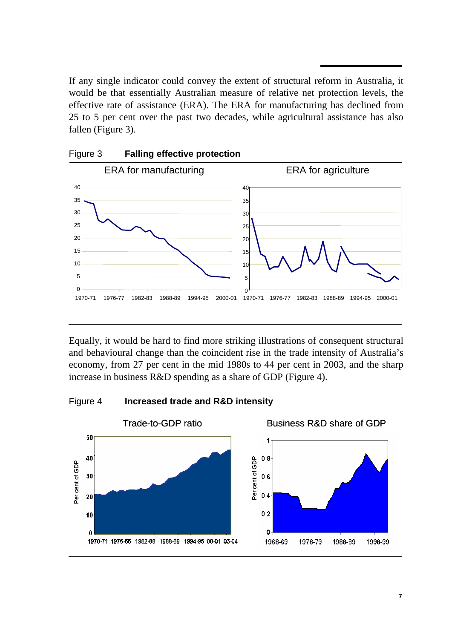$\overline{a}$ If any single indicator could convey the extent of structural reform in Australia, it would be that essentially Australian measure of relative net protection levels, the effective rate of assistance (ERA). The ERA for manufacturing has declined from 25 to 5 per cent over the past two decades, while agricultural assistance has also fallen (Figure 3).



Equally, it would be hard to find more striking illustrations of consequent structural and behavioural change than the coincident rise in the trade intensity of Australia's economy, from 27 per cent in the mid 1980s to 44 per cent in 2003, and the sharp increase in business R&D spending as a share of GDP (Figure 4).





Figure 3 **Falling effective protection**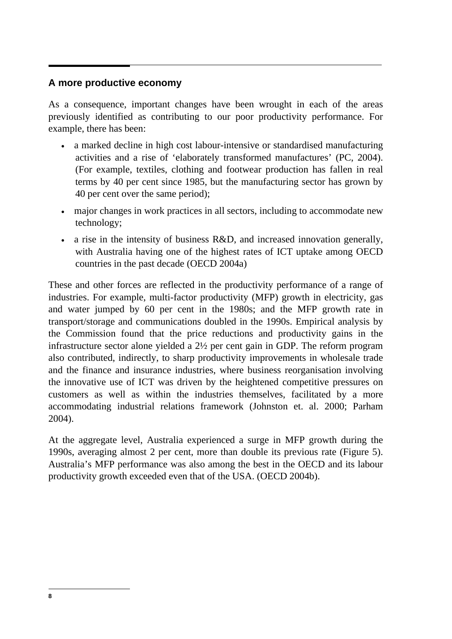### **A more productive economy**

As a consequence, important changes have been wrought in each of the areas previously identified as contributing to our poor productivity performance. For example, there has been:

- a marked decline in high cost labour-intensive or standardised manufacturing activities and a rise of 'elaborately transformed manufactures' (PC, 2004). (For example, textiles, clothing and footwear production has fallen in real terms by 40 per cent since 1985, but the manufacturing sector has grown by 40 per cent over the same period);
- major changes in work practices in all sectors, including to accommodate new technology;
- a rise in the intensity of business R&D, and increased innovation generally, with Australia having one of the highest rates of ICT uptake among OECD countries in the past decade (OECD 2004a)

These and other forces are reflected in the productivity performance of a range of industries. For example, multi-factor productivity (MFP) growth in electricity, gas and water jumped by 60 per cent in the 1980s; and the MFP growth rate in transport/storage and communications doubled in the 1990s. Empirical analysis by the Commission found that the price reductions and productivity gains in the infrastructure sector alone yielded a 2½ per cent gain in GDP. The reform program also contributed, indirectly, to sharp productivity improvements in wholesale trade and the finance and insurance industries, where business reorganisation involving the innovative use of ICT was driven by the heightened competitive pressures on customers as well as within the industries themselves, facilitated by a more accommodating industrial relations framework (Johnston et. al. 2000; Parham 2004).

At the aggregate level, Australia experienced a surge in MFP growth during the 1990s, averaging almost 2 per cent, more than double its previous rate (Figure 5). Australia's MFP performance was also among the best in the OECD and its labour productivity growth exceeded even that of the USA. (OECD 2004b).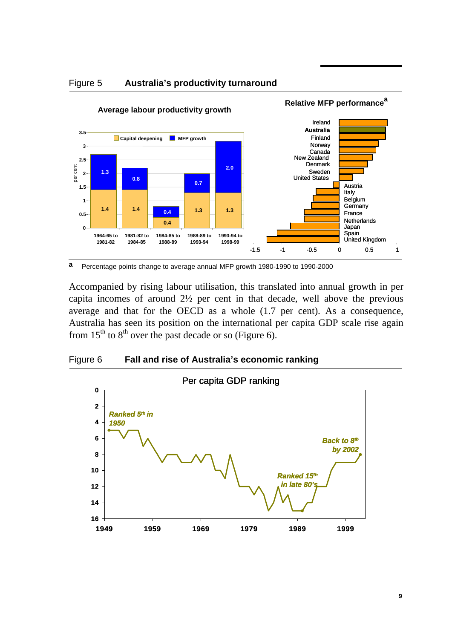



**a** Percentage points change to average annual MFP growth 1980-1990 to 1990-2000

Accompanied by rising labour utilisation, this translated into annual growth in per capita incomes of around 2½ per cent in that decade, well above the previous average and that for the OECD as a whole (1.7 per cent). As a consequence, Australia has seen its position on the international per capita GDP scale rise again from  $15<sup>th</sup>$  to  $8<sup>th</sup>$  over the past decade or so (Figure 6).



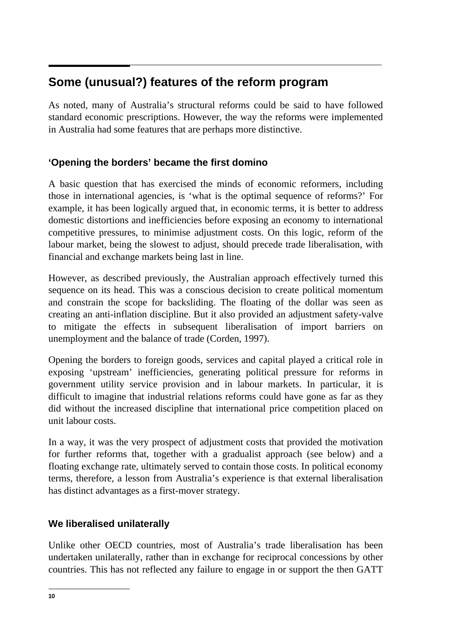#### $\overline{a}$ **Some (unusual?) features of the reform program**

As noted, many of Australia's structural reforms could be said to have followed standard economic prescriptions. However, the way the reforms were implemented in Australia had some features that are perhaps more distinctive.

# **'Opening the borders' became the first domino**

A basic question that has exercised the minds of economic reformers, including those in international agencies, is 'what is the optimal sequence of reforms?' For example, it has been logically argued that, in economic terms, it is better to address domestic distortions and inefficiencies before exposing an economy to international competitive pressures, to minimise adjustment costs. On this logic, reform of the labour market, being the slowest to adjust, should precede trade liberalisation, with financial and exchange markets being last in line.

However, as described previously, the Australian approach effectively turned this sequence on its head. This was a conscious decision to create political momentum and constrain the scope for backsliding. The floating of the dollar was seen as creating an anti-inflation discipline. But it also provided an adjustment safety-valve to mitigate the effects in subsequent liberalisation of import barriers on unemployment and the balance of trade (Corden, 1997).

Opening the borders to foreign goods, services and capital played a critical role in exposing 'upstream' inefficiencies, generating political pressure for reforms in government utility service provision and in labour markets. In particular, it is difficult to imagine that industrial relations reforms could have gone as far as they did without the increased discipline that international price competition placed on unit labour costs.

In a way, it was the very prospect of adjustment costs that provided the motivation for further reforms that, together with a gradualist approach (see below) and a floating exchange rate, ultimately served to contain those costs. In political economy terms, therefore, a lesson from Australia's experience is that external liberalisation has distinct advantages as a first-mover strategy.

# **We liberalised unilaterally**

Unlike other OECD countries, most of Australia's trade liberalisation has been undertaken unilaterally, rather than in exchange for reciprocal concessions by other countries. This has not reflected any failure to engage in or support the then GATT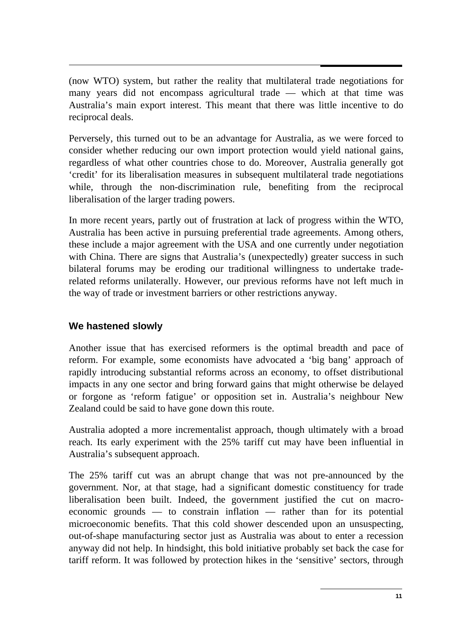(now WTO) system, but rather the reality that multilateral trade negotiations for many years did not encompass agricultural trade — which at that time was Australia's main export interest. This meant that there was little incentive to do reciprocal deals.

Perversely, this turned out to be an advantage for Australia, as we were forced to consider whether reducing our own import protection would yield national gains, regardless of what other countries chose to do. Moreover, Australia generally got 'credit' for its liberalisation measures in subsequent multilateral trade negotiations while, through the non-discrimination rule, benefiting from the reciprocal liberalisation of the larger trading powers.

In more recent years, partly out of frustration at lack of progress within the WTO, Australia has been active in pursuing preferential trade agreements. Among others, these include a major agreement with the USA and one currently under negotiation with China. There are signs that Australia's (unexpectedly) greater success in such bilateral forums may be eroding our traditional willingness to undertake traderelated reforms unilaterally. However, our previous reforms have not left much in the way of trade or investment barriers or other restrictions anyway.

# **We hastened slowly**

Another issue that has exercised reformers is the optimal breadth and pace of reform. For example, some economists have advocated a 'big bang' approach of rapidly introducing substantial reforms across an economy, to offset distributional impacts in any one sector and bring forward gains that might otherwise be delayed or forgone as 'reform fatigue' or opposition set in. Australia's neighbour New Zealand could be said to have gone down this route.

Australia adopted a more incrementalist approach, though ultimately with a broad reach. Its early experiment with the 25% tariff cut may have been influential in Australia's subsequent approach.

The 25% tariff cut was an abrupt change that was not pre-announced by the government. Nor, at that stage, had a significant domestic constituency for trade liberalisation been built. Indeed, the government justified the cut on macroeconomic grounds — to constrain inflation — rather than for its potential microeconomic benefits. That this cold shower descended upon an unsuspecting, out-of-shape manufacturing sector just as Australia was about to enter a recession anyway did not help. In hindsight, this bold initiative probably set back the case for tariff reform. It was followed by protection hikes in the 'sensitive' sectors, through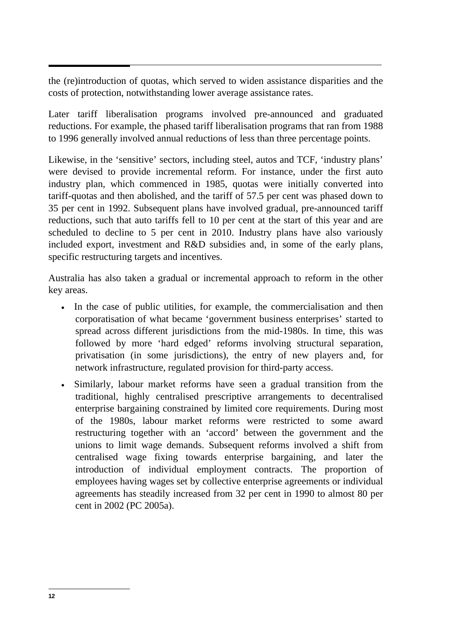the (re)introduction of quotas, which served to widen assistance disparities and the costs of protection, notwithstanding lower average assistance rates.

Later tariff liberalisation programs involved pre-announced and graduated reductions. For example, the phased tariff liberalisation programs that ran from 1988 to 1996 generally involved annual reductions of less than three percentage points.

Likewise, in the 'sensitive' sectors, including steel, autos and TCF, 'industry plans' were devised to provide incremental reform. For instance, under the first auto industry plan, which commenced in 1985, quotas were initially converted into tariff-quotas and then abolished, and the tariff of 57.5 per cent was phased down to 35 per cent in 1992. Subsequent plans have involved gradual, pre-announced tariff reductions, such that auto tariffs fell to 10 per cent at the start of this year and are scheduled to decline to 5 per cent in 2010. Industry plans have also variously included export, investment and R&D subsidies and, in some of the early plans, specific restructuring targets and incentives.

Australia has also taken a gradual or incremental approach to reform in the other key areas.

- In the case of public utilities, for example, the commercialisation and then corporatisation of what became 'government business enterprises' started to spread across different jurisdictions from the mid-1980s. In time, this was followed by more 'hard edged' reforms involving structural separation, privatisation (in some jurisdictions), the entry of new players and, for network infrastructure, regulated provision for third-party access.
- Similarly, labour market reforms have seen a gradual transition from the traditional, highly centralised prescriptive arrangements to decentralised enterprise bargaining constrained by limited core requirements. During most of the 1980s, labour market reforms were restricted to some award restructuring together with an 'accord' between the government and the unions to limit wage demands. Subsequent reforms involved a shift from centralised wage fixing towards enterprise bargaining, and later the introduction of individual employment contracts. The proportion of employees having wages set by collective enterprise agreements or individual agreements has steadily increased from 32 per cent in 1990 to almost 80 per cent in 2002 (PC 2005a).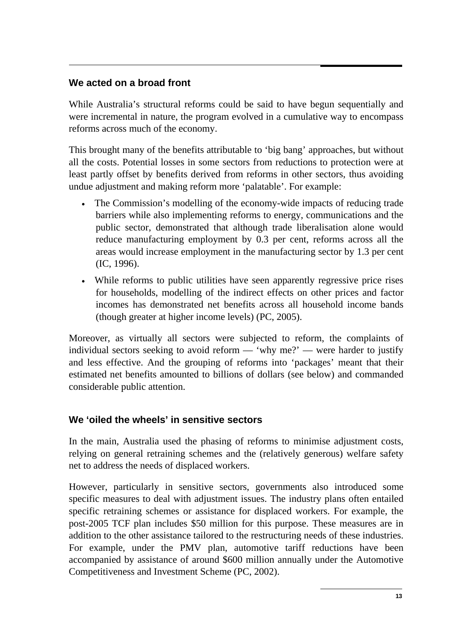## **We acted on a broad front**

While Australia's structural reforms could be said to have begun sequentially and were incremental in nature, the program evolved in a cumulative way to encompass reforms across much of the economy.

This brought many of the benefits attributable to 'big bang' approaches, but without all the costs. Potential losses in some sectors from reductions to protection were at least partly offset by benefits derived from reforms in other sectors, thus avoiding undue adjustment and making reform more 'palatable'. For example:

- The Commission's modelling of the economy-wide impacts of reducing trade barriers while also implementing reforms to energy, communications and the public sector, demonstrated that although trade liberalisation alone would reduce manufacturing employment by 0.3 per cent, reforms across all the areas would increase employment in the manufacturing sector by 1.3 per cent (IC, 1996).
- While reforms to public utilities have seen apparently regressive price rises for households, modelling of the indirect effects on other prices and factor incomes has demonstrated net benefits across all household income bands (though greater at higher income levels) (PC, 2005).

Moreover, as virtually all sectors were subjected to reform, the complaints of individual sectors seeking to avoid reform — 'why me?' — were harder to justify and less effective. And the grouping of reforms into 'packages' meant that their estimated net benefits amounted to billions of dollars (see below) and commanded considerable public attention.

### **We 'oiled the wheels' in sensitive sectors**

In the main, Australia used the phasing of reforms to minimise adjustment costs, relying on general retraining schemes and the (relatively generous) welfare safety net to address the needs of displaced workers.

However, particularly in sensitive sectors, governments also introduced some specific measures to deal with adjustment issues. The industry plans often entailed specific retraining schemes or assistance for displaced workers. For example, the post-2005 TCF plan includes \$50 million for this purpose. These measures are in addition to the other assistance tailored to the restructuring needs of these industries. For example, under the PMV plan, automotive tariff reductions have been accompanied by assistance of around \$600 million annually under the Automotive Competitiveness and Investment Scheme (PC, 2002).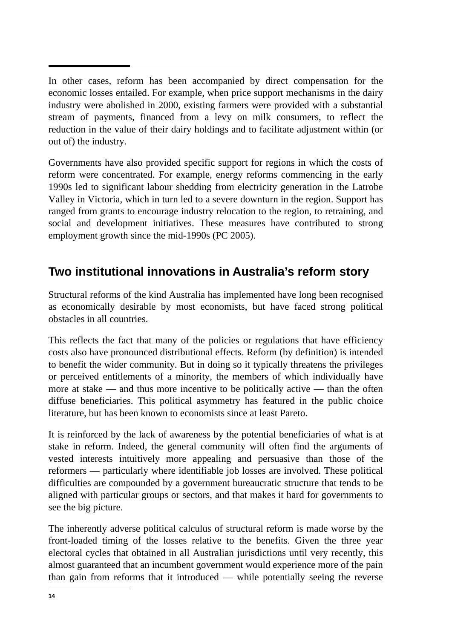$\overline{a}$ In other cases, reform has been accompanied by direct compensation for the economic losses entailed. For example, when price support mechanisms in the dairy industry were abolished in 2000, existing farmers were provided with a substantial stream of payments, financed from a levy on milk consumers, to reflect the reduction in the value of their dairy holdings and to facilitate adjustment within (or out of) the industry.

Governments have also provided specific support for regions in which the costs of reform were concentrated. For example, energy reforms commencing in the early 1990s led to significant labour shedding from electricity generation in the Latrobe Valley in Victoria, which in turn led to a severe downturn in the region. Support has ranged from grants to encourage industry relocation to the region, to retraining, and social and development initiatives. These measures have contributed to strong employment growth since the mid-1990s (PC 2005).

# **Two institutional innovations in Australia's reform story**

Structural reforms of the kind Australia has implemented have long been recognised as economically desirable by most economists, but have faced strong political obstacles in all countries.

This reflects the fact that many of the policies or regulations that have efficiency costs also have pronounced distributional effects. Reform (by definition) is intended to benefit the wider community. But in doing so it typically threatens the privileges or perceived entitlements of a minority, the members of which individually have more at stake — and thus more incentive to be politically active — than the often diffuse beneficiaries. This political asymmetry has featured in the public choice literature, but has been known to economists since at least Pareto.

It is reinforced by the lack of awareness by the potential beneficiaries of what is at stake in reform. Indeed, the general community will often find the arguments of vested interests intuitively more appealing and persuasive than those of the reformers — particularly where identifiable job losses are involved. These political difficulties are compounded by a government bureaucratic structure that tends to be aligned with particular groups or sectors, and that makes it hard for governments to see the big picture.

The inherently adverse political calculus of structural reform is made worse by the front-loaded timing of the losses relative to the benefits. Given the three year electoral cycles that obtained in all Australian jurisdictions until very recently, this almost guaranteed that an incumbent government would experience more of the pain than gain from reforms that it introduced — while potentially seeing the reverse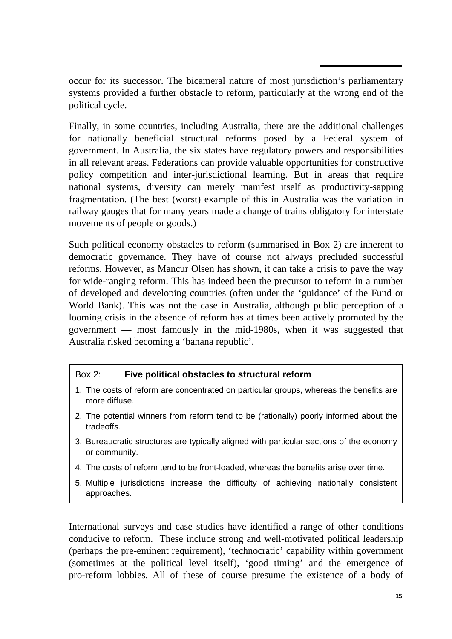occur for its successor. The bicameral nature of most jurisdiction's parliamentary systems provided a further obstacle to reform, particularly at the wrong end of the political cycle.

Finally, in some countries, including Australia, there are the additional challenges for nationally beneficial structural reforms posed by a Federal system of government. In Australia, the six states have regulatory powers and responsibilities in all relevant areas. Federations can provide valuable opportunities for constructive policy competition and inter-jurisdictional learning. But in areas that require national systems, diversity can merely manifest itself as productivity-sapping fragmentation. (The best (worst) example of this in Australia was the variation in railway gauges that for many years made a change of trains obligatory for interstate movements of people or goods.)

Such political economy obstacles to reform (summarised in Box 2) are inherent to democratic governance. They have of course not always precluded successful reforms. However, as Mancur Olsen has shown, it can take a crisis to pave the way for wide-ranging reform. This has indeed been the precursor to reform in a number of developed and developing countries (often under the 'guidance' of the Fund or World Bank). This was not the case in Australia, although public perception of a looming crisis in the absence of reform has at times been actively promoted by the government — most famously in the mid-1980s, when it was suggested that Australia risked becoming a 'banana republic'.

#### Box 2: **Five political obstacles to structural reform**

- 1. The costs of reform are concentrated on particular groups, whereas the benefits are more diffuse.
- 2. The potential winners from reform tend to be (rationally) poorly informed about the tradeoffs.
- 3. Bureaucratic structures are typically aligned with particular sections of the economy or community.
- 4. The costs of reform tend to be front-loaded, whereas the benefits arise over time.
- 5. Multiple jurisdictions increase the difficulty of achieving nationally consistent approaches.

International surveys and case studies have identified a range of other conditions conducive to reform. These include strong and well-motivated political leadership (perhaps the pre-eminent requirement), 'technocratic' capability within government (sometimes at the political level itself), 'good timing' and the emergence of pro-reform lobbies. All of these of course presume the existence of a body of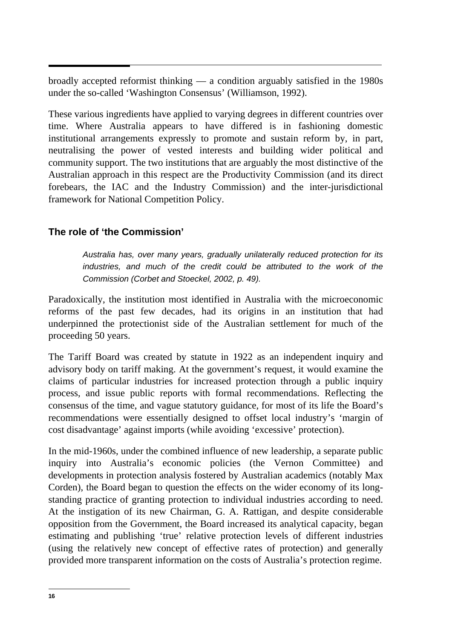$\overline{a}$ broadly accepted reformist thinking — a condition arguably satisfied in the 1980s under the so-called 'Washington Consensus' (Williamson, 1992).

These various ingredients have applied to varying degrees in different countries over time. Where Australia appears to have differed is in fashioning domestic institutional arrangements expressly to promote and sustain reform by, in part, neutralising the power of vested interests and building wider political and community support. The two institutions that are arguably the most distinctive of the Australian approach in this respect are the Productivity Commission (and its direct forebears, the IAC and the Industry Commission) and the inter-jurisdictional framework for National Competition Policy.

## **The role of 'the Commission'**

*Australia has, over many years, gradually unilaterally reduced protection for its industries, and much of the credit could be attributed to the work of the Commission (Corbet and Stoeckel, 2002, p. 49).* 

Paradoxically, the institution most identified in Australia with the microeconomic reforms of the past few decades, had its origins in an institution that had underpinned the protectionist side of the Australian settlement for much of the proceeding 50 years.

The Tariff Board was created by statute in 1922 as an independent inquiry and advisory body on tariff making. At the government's request, it would examine the claims of particular industries for increased protection through a public inquiry process, and issue public reports with formal recommendations. Reflecting the consensus of the time, and vague statutory guidance, for most of its life the Board's recommendations were essentially designed to offset local industry's 'margin of cost disadvantage' against imports (while avoiding 'excessive' protection).

In the mid-1960s, under the combined influence of new leadership, a separate public inquiry into Australia's economic policies (the Vernon Committee) and developments in protection analysis fostered by Australian academics (notably Max Corden), the Board began to question the effects on the wider economy of its longstanding practice of granting protection to individual industries according to need. At the instigation of its new Chairman, G. A. Rattigan, and despite considerable opposition from the Government, the Board increased its analytical capacity, began estimating and publishing 'true' relative protection levels of different industries (using the relatively new concept of effective rates of protection) and generally provided more transparent information on the costs of Australia's protection regime.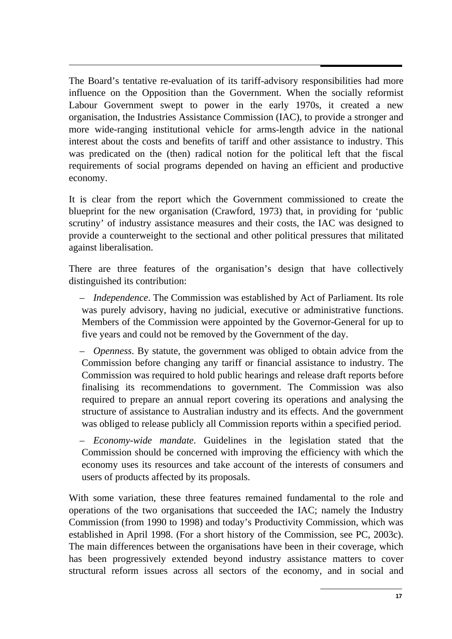$\overline{a}$ The Board's tentative re-evaluation of its tariff-advisory responsibilities had more influence on the Opposition than the Government. When the socially reformist Labour Government swept to power in the early 1970s, it created a new organisation, the Industries Assistance Commission (IAC), to provide a stronger and more wide-ranging institutional vehicle for arms-length advice in the national interest about the costs and benefits of tariff and other assistance to industry. This was predicated on the (then) radical notion for the political left that the fiscal requirements of social programs depended on having an efficient and productive economy.

It is clear from the report which the Government commissioned to create the blueprint for the new organisation (Crawford, 1973) that, in providing for 'public scrutiny' of industry assistance measures and their costs, the IAC was designed to provide a counterweight to the sectional and other political pressures that militated against liberalisation.

There are three features of the organisation's design that have collectively distinguished its contribution:

- *Independence*. The Commission was established by Act of Parliament. Its role was purely advisory, having no judicial, executive or administrative functions. Members of the Commission were appointed by the Governor-General for up to five years and could not be removed by the Government of the day.
- *Openness*. By statute, the government was obliged to obtain advice from the Commission before changing any tariff or financial assistance to industry. The Commission was required to hold public hearings and release draft reports before finalising its recommendations to government. The Commission was also required to prepare an annual report covering its operations and analysing the structure of assistance to Australian industry and its effects. And the government was obliged to release publicly all Commission reports within a specified period.

– *Economy-wide mandate*. Guidelines in the legislation stated that the Commission should be concerned with improving the efficiency with which the economy uses its resources and take account of the interests of consumers and users of products affected by its proposals.

With some variation, these three features remained fundamental to the role and operations of the two organisations that succeeded the IAC; namely the Industry Commission (from 1990 to 1998) and today's Productivity Commission, which was established in April 1998. (For a short history of the Commission, see PC, 2003c). The main differences between the organisations have been in their coverage, which has been progressively extended beyond industry assistance matters to cover structural reform issues across all sectors of the economy, and in social and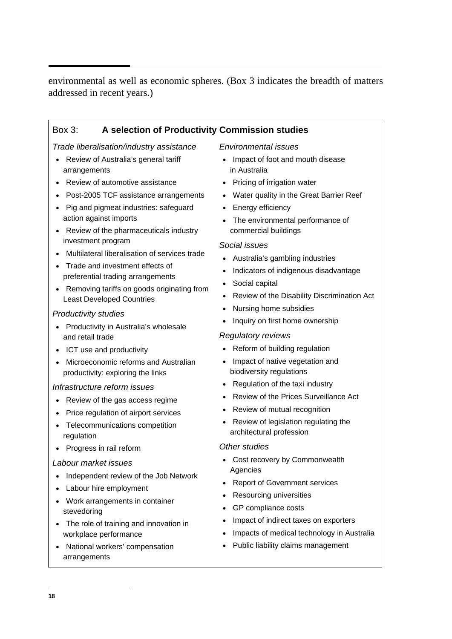environmental as well as economic spheres. (Box 3 indicates the breadth of matters addressed in recent years.)

#### Box 3: **A selection of Productivity Commission studies**

*Trade liberalisation/industry assistance* 

- Review of Australia's general tariff arrangements
- Review of automotive assistance
- Post-2005 TCF assistance arrangements
- Pig and pigmeat industries: safeguard action against imports
- Review of the pharmaceuticals industry investment program
- Multilateral liberalisation of services trade
- Trade and investment effects of preferential trading arrangements
- Removing tariffs on goods originating from Least Developed Countries

#### *Productivity studies*

- Productivity in Australia's wholesale and retail trade
- ICT use and productivity
- Microeconomic reforms and Australian productivity: exploring the links

#### *Infrastructure reform issues*

- Review of the gas access regime
- Price regulation of airport services
- Telecommunications competition regulation
- Progress in rail reform

#### *Labour market issues*

- Independent review of the Job Network
- Labour hire employment
- Work arrangements in container stevedoring
- The role of training and innovation in workplace performance
- National workers' compensation arrangements

#### *Environmental issues*

- Impact of foot and mouth disease in Australia
- Pricing of irrigation water
- Water quality in the Great Barrier Reef
- Energy efficiency
- The environmental performance of commercial buildings

#### *Social issues*

- Australia's gambling industries
- Indicators of indigenous disadvantage
- Social capital
- Review of the Disability Discrimination Act
- Nursing home subsidies
- Inquiry on first home ownership

#### *Regulatory reviews*

- Reform of building regulation
- Impact of native vegetation and biodiversity regulations
- Regulation of the taxi industry
- Review of the Prices Surveillance Act
- Review of mutual recognition
- Review of legislation regulating the architectural profession

#### *Other studies*

- Cost recovery by Commonwealth **Agencies**
- Report of Government services
- Resourcing universities
- GP compliance costs
- Impact of indirect taxes on exporters
- Impacts of medical technology in Australia
- Public liability claims management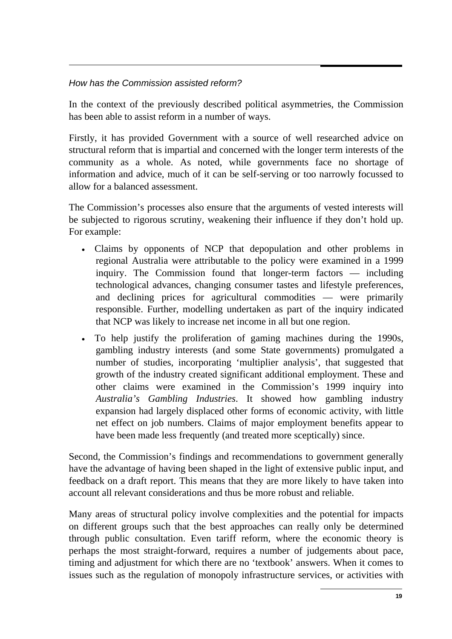#### *How has the Commission assisted reform?*

In the context of the previously described political asymmetries, the Commission has been able to assist reform in a number of ways.

Firstly, it has provided Government with a source of well researched advice on structural reform that is impartial and concerned with the longer term interests of the community as a whole. As noted, while governments face no shortage of information and advice, much of it can be self-serving or too narrowly focussed to allow for a balanced assessment.

The Commission's processes also ensure that the arguments of vested interests will be subjected to rigorous scrutiny, weakening their influence if they don't hold up. For example:

- Claims by opponents of NCP that depopulation and other problems in regional Australia were attributable to the policy were examined in a 1999 inquiry. The Commission found that longer-term factors — including technological advances, changing consumer tastes and lifestyle preferences, and declining prices for agricultural commodities — were primarily responsible. Further, modelling undertaken as part of the inquiry indicated that NCP was likely to increase net income in all but one region.
- To help justify the proliferation of gaming machines during the 1990s, gambling industry interests (and some State governments) promulgated a number of studies, incorporating 'multiplier analysis', that suggested that growth of the industry created significant additional employment. These and other claims were examined in the Commission's 1999 inquiry into *Australia's Gambling Industries*. It showed how gambling industry expansion had largely displaced other forms of economic activity, with little net effect on job numbers. Claims of major employment benefits appear to have been made less frequently (and treated more sceptically) since.

Second, the Commission's findings and recommendations to government generally have the advantage of having been shaped in the light of extensive public input, and feedback on a draft report. This means that they are more likely to have taken into account all relevant considerations and thus be more robust and reliable.

Many areas of structural policy involve complexities and the potential for impacts on different groups such that the best approaches can really only be determined through public consultation. Even tariff reform, where the economic theory is perhaps the most straight-forward, requires a number of judgements about pace, timing and adjustment for which there are no 'textbook' answers. When it comes to issues such as the regulation of monopoly infrastructure services, or activities with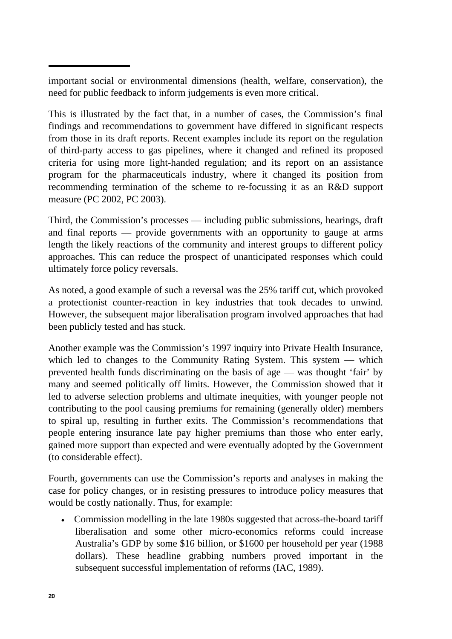$\ddot{\phantom{0}}$ important social or environmental dimensions (health, welfare, conservation), the need for public feedback to inform judgements is even more critical.

This is illustrated by the fact that, in a number of cases, the Commission's final findings and recommendations to government have differed in significant respects from those in its draft reports. Recent examples include its report on the regulation of third-party access to gas pipelines, where it changed and refined its proposed criteria for using more light-handed regulation; and its report on an assistance program for the pharmaceuticals industry, where it changed its position from recommending termination of the scheme to re-focussing it as an R&D support measure (PC 2002, PC 2003).

Third, the Commission's processes — including public submissions, hearings, draft and final reports — provide governments with an opportunity to gauge at arms length the likely reactions of the community and interest groups to different policy approaches. This can reduce the prospect of unanticipated responses which could ultimately force policy reversals.

As noted, a good example of such a reversal was the 25% tariff cut, which provoked a protectionist counter-reaction in key industries that took decades to unwind. However, the subsequent major liberalisation program involved approaches that had been publicly tested and has stuck.

Another example was the Commission's 1997 inquiry into Private Health Insurance, which led to changes to the Community Rating System. This system — which prevented health funds discriminating on the basis of age — was thought 'fair' by many and seemed politically off limits. However, the Commission showed that it led to adverse selection problems and ultimate inequities, with younger people not contributing to the pool causing premiums for remaining (generally older) members to spiral up, resulting in further exits. The Commission's recommendations that people entering insurance late pay higher premiums than those who enter early, gained more support than expected and were eventually adopted by the Government (to considerable effect).

Fourth, governments can use the Commission's reports and analyses in making the case for policy changes, or in resisting pressures to introduce policy measures that would be costly nationally. Thus, for example:

• Commission modelling in the late 1980s suggested that across-the-board tariff liberalisation and some other micro-economics reforms could increase Australia's GDP by some \$16 billion, or \$1600 per household per year (1988 dollars). These headline grabbing numbers proved important in the subsequent successful implementation of reforms (IAC, 1989).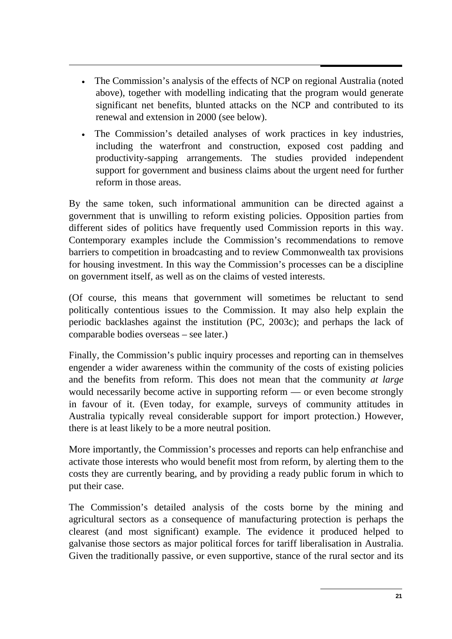- The Commission's analysis of the effects of NCP on regional Australia (noted above), together with modelling indicating that the program would generate significant net benefits, blunted attacks on the NCP and contributed to its renewal and extension in 2000 (see below).
- The Commission's detailed analyses of work practices in key industries, including the waterfront and construction, exposed cost padding and productivity-sapping arrangements. The studies provided independent support for government and business claims about the urgent need for further reform in those areas.

By the same token, such informational ammunition can be directed against a government that is unwilling to reform existing policies. Opposition parties from different sides of politics have frequently used Commission reports in this way. Contemporary examples include the Commission's recommendations to remove barriers to competition in broadcasting and to review Commonwealth tax provisions for housing investment. In this way the Commission's processes can be a discipline on government itself, as well as on the claims of vested interests.

(Of course, this means that government will sometimes be reluctant to send politically contentious issues to the Commission. It may also help explain the periodic backlashes against the institution (PC, 2003c); and perhaps the lack of comparable bodies overseas – see later.)

Finally, the Commission's public inquiry processes and reporting can in themselves engender a wider awareness within the community of the costs of existing policies and the benefits from reform. This does not mean that the community *at large* would necessarily become active in supporting reform — or even become strongly in favour of it. (Even today, for example, surveys of community attitudes in Australia typically reveal considerable support for import protection.) However, there is at least likely to be a more neutral position.

More importantly, the Commission's processes and reports can help enfranchise and activate those interests who would benefit most from reform, by alerting them to the costs they are currently bearing, and by providing a ready public forum in which to put their case.

The Commission's detailed analysis of the costs borne by the mining and agricultural sectors as a consequence of manufacturing protection is perhaps the clearest (and most significant) example. The evidence it produced helped to galvanise those sectors as major political forces for tariff liberalisation in Australia. Given the traditionally passive, or even supportive, stance of the rural sector and its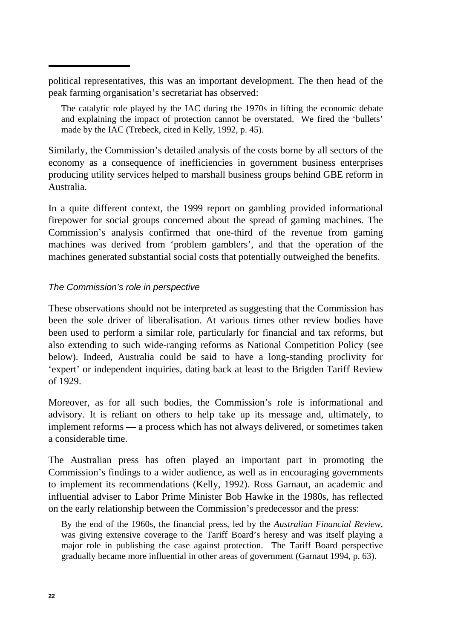political representatives, this was an important development. The then head of the peak farming organisation's secretariat has observed:

The catalytic role played by the IAC during the 1970s in lifting the economic debate and explaining the impact of protection cannot be overstated. We fired the 'bullets' made by the IAC (Trebeck, cited in Kelly, 1992, p. 45).

Similarly, the Commission's detailed analysis of the costs borne by all sectors of the economy as a consequence of inefficiencies in government business enterprises producing utility services helped to marshall business groups behind GBE reform in Australia.

In a quite different context, the 1999 report on gambling provided informational firepower for social groups concerned about the spread of gaming machines. The Commission's analysis confirmed that one-third of the revenue from gaming machines was derived from 'problem gamblers', and that the operation of the machines generated substantial social costs that potentially outweighed the benefits.

#### *The Commission's role in perspective*

These observations should not be interpreted as suggesting that the Commission has been the sole driver of liberalisation. At various times other review bodies have been used to perform a similar role, particularly for financial and tax reforms, but also extending to such wide-ranging reforms as National Competition Policy (see below). Indeed, Australia could be said to have a long-standing proclivity for 'expert' or independent inquiries, dating back at least to the Brigden Tariff Review of 1929.

Moreover, as for all such bodies, the Commission's role is informational and advisory. It is reliant on others to help take up its message and, ultimately, to implement reforms — a process which has not always delivered, or sometimes taken a considerable time.

The Australian press has often played an important part in promoting the Commission's findings to a wider audience, as well as in encouraging governments to implement its recommendations (Kelly, 1992). Ross Garnaut, an academic and influential adviser to Labor Prime Minister Bob Hawke in the 1980s, has reflected on the early relationship between the Commission's predecessor and the press:

By the end of the 1960s, the financial press, led by the *Australian Financial Review*, was giving extensive coverage to the Tariff Board's heresy and was itself playing a major role in publishing the case against protection. The Tariff Board perspective gradually became more influential in other areas of government (Garnaut 1994, p. 63).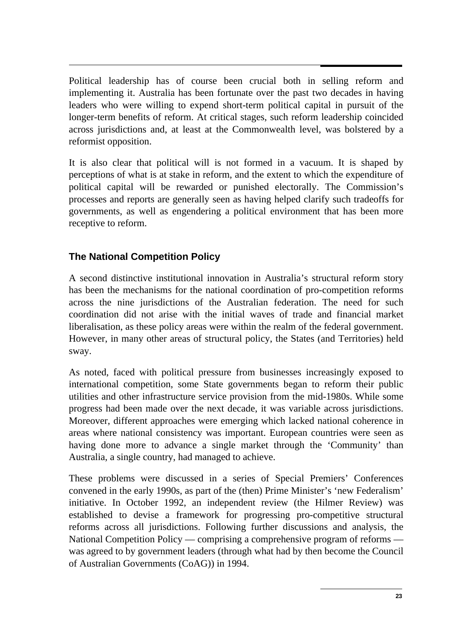$\overline{a}$ Political leadership has of course been crucial both in selling reform and implementing it. Australia has been fortunate over the past two decades in having leaders who were willing to expend short-term political capital in pursuit of the longer-term benefits of reform. At critical stages, such reform leadership coincided across jurisdictions and, at least at the Commonwealth level, was bolstered by a reformist opposition.

It is also clear that political will is not formed in a vacuum. It is shaped by perceptions of what is at stake in reform, and the extent to which the expenditure of political capital will be rewarded or punished electorally. The Commission's processes and reports are generally seen as having helped clarify such tradeoffs for governments, as well as engendering a political environment that has been more receptive to reform.

# **The National Competition Policy**

A second distinctive institutional innovation in Australia's structural reform story has been the mechanisms for the national coordination of pro-competition reforms across the nine jurisdictions of the Australian federation. The need for such coordination did not arise with the initial waves of trade and financial market liberalisation, as these policy areas were within the realm of the federal government. However, in many other areas of structural policy, the States (and Territories) held sway.

As noted, faced with political pressure from businesses increasingly exposed to international competition, some State governments began to reform their public utilities and other infrastructure service provision from the mid-1980s. While some progress had been made over the next decade, it was variable across jurisdictions. Moreover, different approaches were emerging which lacked national coherence in areas where national consistency was important. European countries were seen as having done more to advance a single market through the 'Community' than Australia, a single country, had managed to achieve.

These problems were discussed in a series of Special Premiers' Conferences convened in the early 1990s, as part of the (then) Prime Minister's 'new Federalism' initiative. In October 1992, an independent review (the Hilmer Review) was established to devise a framework for progressing pro-competitive structural reforms across all jurisdictions. Following further discussions and analysis, the National Competition Policy — comprising a comprehensive program of reforms was agreed to by government leaders (through what had by then become the Council of Australian Governments (CoAG)) in 1994.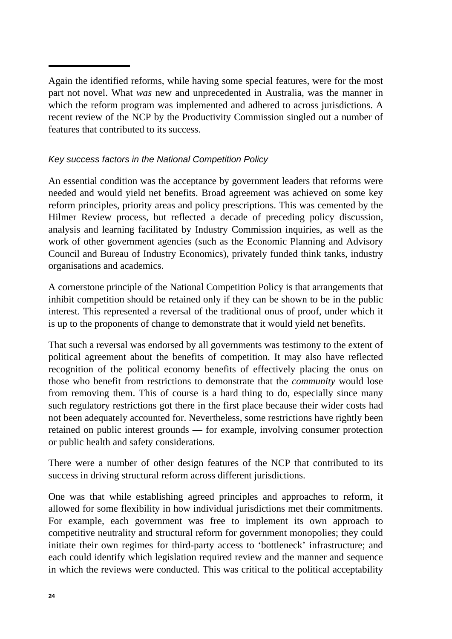Again the identified reforms, while having some special features, were for the most part not novel. What *was* new and unprecedented in Australia, was the manner in which the reform program was implemented and adhered to across jurisdictions. A recent review of the NCP by the Productivity Commission singled out a number of features that contributed to its success.

### *Key success factors in the National Competition Policy*

An essential condition was the acceptance by government leaders that reforms were needed and would yield net benefits. Broad agreement was achieved on some key reform principles, priority areas and policy prescriptions. This was cemented by the Hilmer Review process, but reflected a decade of preceding policy discussion, analysis and learning facilitated by Industry Commission inquiries, as well as the work of other government agencies (such as the Economic Planning and Advisory Council and Bureau of Industry Economics), privately funded think tanks, industry organisations and academics.

A cornerstone principle of the National Competition Policy is that arrangements that inhibit competition should be retained only if they can be shown to be in the public interest. This represented a reversal of the traditional onus of proof, under which it is up to the proponents of change to demonstrate that it would yield net benefits.

That such a reversal was endorsed by all governments was testimony to the extent of political agreement about the benefits of competition. It may also have reflected recognition of the political economy benefits of effectively placing the onus on those who benefit from restrictions to demonstrate that the *community* would lose from removing them. This of course is a hard thing to do, especially since many such regulatory restrictions got there in the first place because their wider costs had not been adequately accounted for. Nevertheless, some restrictions have rightly been retained on public interest grounds — for example, involving consumer protection or public health and safety considerations.

There were a number of other design features of the NCP that contributed to its success in driving structural reform across different jurisdictions.

One was that while establishing agreed principles and approaches to reform, it allowed for some flexibility in how individual jurisdictions met their commitments. For example, each government was free to implement its own approach to competitive neutrality and structural reform for government monopolies; they could initiate their own regimes for third-party access to 'bottleneck' infrastructure; and each could identify which legislation required review and the manner and sequence in which the reviews were conducted. This was critical to the political acceptability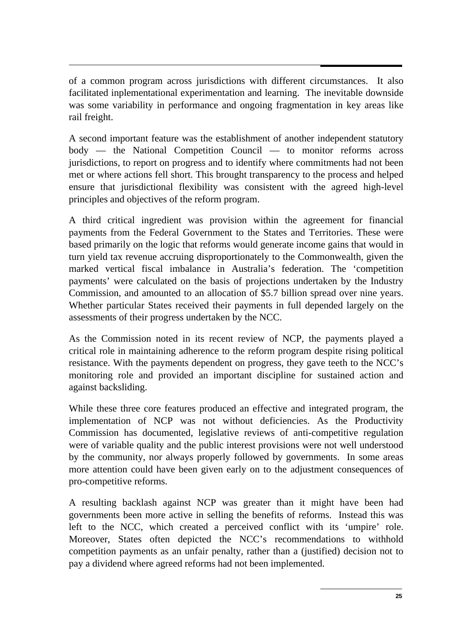of a common program across jurisdictions with different circumstances. It also facilitated inplementational experimentation and learning. The inevitable downside was some variability in performance and ongoing fragmentation in key areas like rail freight.

A second important feature was the establishment of another independent statutory body — the National Competition Council — to monitor reforms across jurisdictions, to report on progress and to identify where commitments had not been met or where actions fell short. This brought transparency to the process and helped ensure that jurisdictional flexibility was consistent with the agreed high-level principles and objectives of the reform program.

A third critical ingredient was provision within the agreement for financial payments from the Federal Government to the States and Territories. These were based primarily on the logic that reforms would generate income gains that would in turn yield tax revenue accruing disproportionately to the Commonwealth, given the marked vertical fiscal imbalance in Australia's federation. The 'competition payments' were calculated on the basis of projections undertaken by the Industry Commission, and amounted to an allocation of \$5.7 billion spread over nine years. Whether particular States received their payments in full depended largely on the assessments of their progress undertaken by the NCC.

As the Commission noted in its recent review of NCP, the payments played a critical role in maintaining adherence to the reform program despite rising political resistance. With the payments dependent on progress, they gave teeth to the NCC's monitoring role and provided an important discipline for sustained action and against backsliding.

While these three core features produced an effective and integrated program, the implementation of NCP was not without deficiencies. As the Productivity Commission has documented, legislative reviews of anti-competitive regulation were of variable quality and the public interest provisions were not well understood by the community, nor always properly followed by governments. In some areas more attention could have been given early on to the adjustment consequences of pro-competitive reforms.

A resulting backlash against NCP was greater than it might have been had governments been more active in selling the benefits of reforms. Instead this was left to the NCC, which created a perceived conflict with its 'umpire' role. Moreover, States often depicted the NCC's recommendations to withhold competition payments as an unfair penalty, rather than a (justified) decision not to pay a dividend where agreed reforms had not been implemented.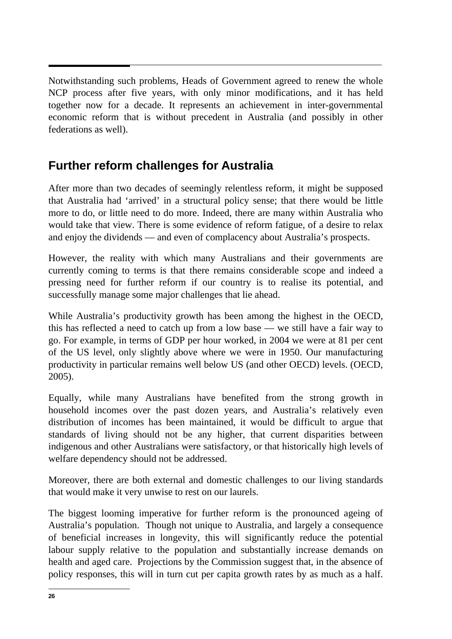$\overline{a}$ Notwithstanding such problems, Heads of Government agreed to renew the whole NCP process after five years, with only minor modifications, and it has held together now for a decade. It represents an achievement in inter-governmental economic reform that is without precedent in Australia (and possibly in other federations as well).

# **Further reform challenges for Australia**

After more than two decades of seemingly relentless reform, it might be supposed that Australia had 'arrived' in a structural policy sense; that there would be little more to do, or little need to do more. Indeed, there are many within Australia who would take that view. There is some evidence of reform fatigue, of a desire to relax and enjoy the dividends — and even of complacency about Australia's prospects.

However, the reality with which many Australians and their governments are currently coming to terms is that there remains considerable scope and indeed a pressing need for further reform if our country is to realise its potential, and successfully manage some major challenges that lie ahead.

While Australia's productivity growth has been among the highest in the OECD, this has reflected a need to catch up from a low base — we still have a fair way to go. For example, in terms of GDP per hour worked, in 2004 we were at 81 per cent of the US level, only slightly above where we were in 1950. Our manufacturing productivity in particular remains well below US (and other OECD) levels. (OECD, 2005).

Equally, while many Australians have benefited from the strong growth in household incomes over the past dozen years, and Australia's relatively even distribution of incomes has been maintained, it would be difficult to argue that standards of living should not be any higher, that current disparities between indigenous and other Australians were satisfactory, or that historically high levels of welfare dependency should not be addressed.

Moreover, there are both external and domestic challenges to our living standards that would make it very unwise to rest on our laurels.

The biggest looming imperative for further reform is the pronounced ageing of Australia's population. Though not unique to Australia, and largely a consequence of beneficial increases in longevity, this will significantly reduce the potential labour supply relative to the population and substantially increase demands on health and aged care. Projections by the Commission suggest that, in the absence of policy responses, this will in turn cut per capita growth rates by as much as a half.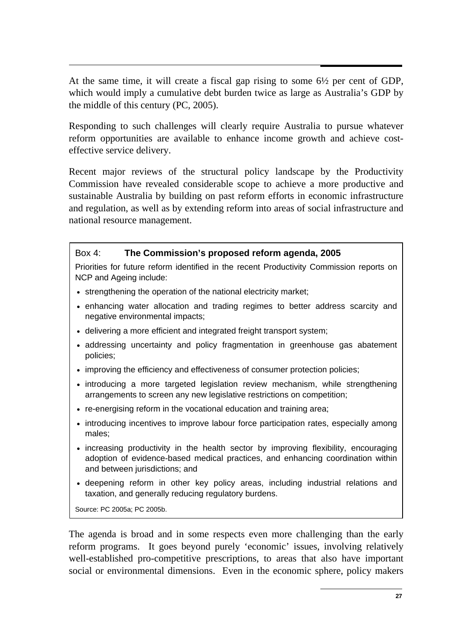At the same time, it will create a fiscal gap rising to some 6½ per cent of GDP, which would imply a cumulative debt burden twice as large as Australia's GDP by the middle of this century (PC, 2005).

Responding to such challenges will clearly require Australia to pursue whatever reform opportunities are available to enhance income growth and achieve costeffective service delivery.

Recent major reviews of the structural policy landscape by the Productivity Commission have revealed considerable scope to achieve a more productive and sustainable Australia by building on past reform efforts in economic infrastructure and regulation, as well as by extending reform into areas of social infrastructure and national resource management.

#### Box 4: **The Commission's proposed reform agenda, 2005**

Priorities for future reform identified in the recent Productivity Commission reports on NCP and Ageing include:

- strengthening the operation of the national electricity market;
- enhancing water allocation and trading regimes to better address scarcity and negative environmental impacts;
- delivering a more efficient and integrated freight transport system;
- addressing uncertainty and policy fragmentation in greenhouse gas abatement policies;
- improving the efficiency and effectiveness of consumer protection policies;
- introducing a more targeted legislation review mechanism, while strengthening arrangements to screen any new legislative restrictions on competition;
- re-energising reform in the vocational education and training area;
- introducing incentives to improve labour force participation rates, especially among males;
- increasing productivity in the health sector by improving flexibility, encouraging adoption of evidence-based medical practices, and enhancing coordination within and between jurisdictions; and
- deepening reform in other key policy areas, including industrial relations and taxation, and generally reducing regulatory burdens.

Source: PC 2005a; PC 2005b.

The agenda is broad and in some respects even more challenging than the early reform programs. It goes beyond purely 'economic' issues, involving relatively well-established pro-competitive prescriptions, to areas that also have important social or environmental dimensions. Even in the economic sphere, policy makers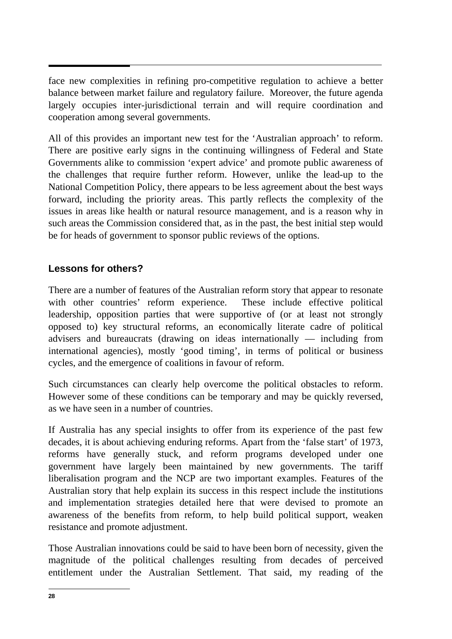$\overline{a}$ face new complexities in refining pro-competitive regulation to achieve a better balance between market failure and regulatory failure. Moreover, the future agenda largely occupies inter-jurisdictional terrain and will require coordination and cooperation among several governments.

All of this provides an important new test for the 'Australian approach' to reform. There are positive early signs in the continuing willingness of Federal and State Governments alike to commission 'expert advice' and promote public awareness of the challenges that require further reform. However, unlike the lead-up to the National Competition Policy, there appears to be less agreement about the best ways forward, including the priority areas. This partly reflects the complexity of the issues in areas like health or natural resource management, and is a reason why in such areas the Commission considered that, as in the past, the best initial step would be for heads of government to sponsor public reviews of the options.

# **Lessons for others?**

There are a number of features of the Australian reform story that appear to resonate with other countries' reform experience. These include effective political leadership, opposition parties that were supportive of (or at least not strongly opposed to) key structural reforms, an economically literate cadre of political advisers and bureaucrats (drawing on ideas internationally — including from international agencies), mostly 'good timing', in terms of political or business cycles, and the emergence of coalitions in favour of reform.

Such circumstances can clearly help overcome the political obstacles to reform. However some of these conditions can be temporary and may be quickly reversed, as we have seen in a number of countries.

If Australia has any special insights to offer from its experience of the past few decades, it is about achieving enduring reforms. Apart from the 'false start' of 1973, reforms have generally stuck, and reform programs developed under one government have largely been maintained by new governments. The tariff liberalisation program and the NCP are two important examples. Features of the Australian story that help explain its success in this respect include the institutions and implementation strategies detailed here that were devised to promote an awareness of the benefits from reform, to help build political support, weaken resistance and promote adjustment.

Those Australian innovations could be said to have been born of necessity, given the magnitude of the political challenges resulting from decades of perceived entitlement under the Australian Settlement. That said, my reading of the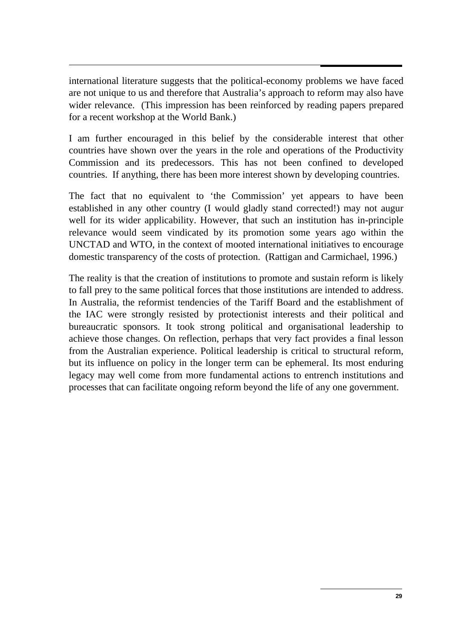$\ddot{\phantom{0}}$ international literature suggests that the political-economy problems we have faced are not unique to us and therefore that Australia's approach to reform may also have wider relevance. (This impression has been reinforced by reading papers prepared for a recent workshop at the World Bank.)

I am further encouraged in this belief by the considerable interest that other countries have shown over the years in the role and operations of the Productivity Commission and its predecessors. This has not been confined to developed countries. If anything, there has been more interest shown by developing countries.

The fact that no equivalent to 'the Commission' yet appears to have been established in any other country (I would gladly stand corrected!) may not augur well for its wider applicability. However, that such an institution has in-principle relevance would seem vindicated by its promotion some years ago within the UNCTAD and WTO, in the context of mooted international initiatives to encourage domestic transparency of the costs of protection. (Rattigan and Carmichael, 1996.)

The reality is that the creation of institutions to promote and sustain reform is likely to fall prey to the same political forces that those institutions are intended to address. In Australia, the reformist tendencies of the Tariff Board and the establishment of the IAC were strongly resisted by protectionist interests and their political and bureaucratic sponsors. It took strong political and organisational leadership to achieve those changes. On reflection, perhaps that very fact provides a final lesson from the Australian experience. Political leadership is critical to structural reform, but its influence on policy in the longer term can be ephemeral. Its most enduring legacy may well come from more fundamental actions to entrench institutions and processes that can facilitate ongoing reform beyond the life of any one government.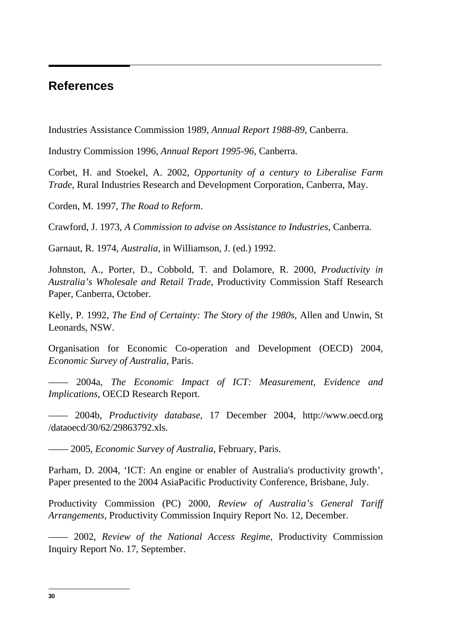# **References**

Industries Assistance Commission 1989, *Annual Report 1988-89*, Canberra.

Industry Commission 1996, *Annual Report 1995-96*, Canberra.

Corbet, H. and Stoekel, A. 2002, *Opportunity of a century to Liberalise Farm Trade,* Rural Industries Research and Development Corporation, Canberra, May.

Corden, M. 1997, *The Road to Reform*.

Crawford, J. 1973, *A Commission to advise on Assistance to Industries*, Canberra.

Garnaut, R. 1974, *Australia*, in Williamson, J. (ed.) 1992.

Johnston, A., Porter, D., Cobbold, T. and Dolamore, R. 2000, *Productivity in Australia's Wholesale and Retail Trade*, Productivity Commission Staff Research Paper, Canberra, October.

Kelly, P. 1992, *The End of Certainty: The Story of the 1980s*, Allen and Unwin, St Leonards, NSW.

Organisation for Economic Co-operation and Development (OECD) 2004, *Economic Survey of Australia,* Paris.

—— 2004a, *The Economic Impact of ICT: Measurement, Evidence and Implications*, OECD Research Report.

—— 2004b, *Productivity database*, 17 December 2004, http://www.oecd.org /dataoecd/30/62/29863792.xls.

—— 2005, *Economic Survey of Australia*, February, Paris.

Parham, D. 2004, 'ICT: An engine or enabler of Australia's productivity growth', Paper presented to the 2004 AsiaPacific Productivity Conference, Brisbane, July.

Productivity Commission (PC) 2000, *Review of Australia's General Tariff Arrangements*, Productivity Commission Inquiry Report No. 12, December.

—— 2002, *Review of the National Access Regime*, Productivity Commission Inquiry Report No. 17, September.